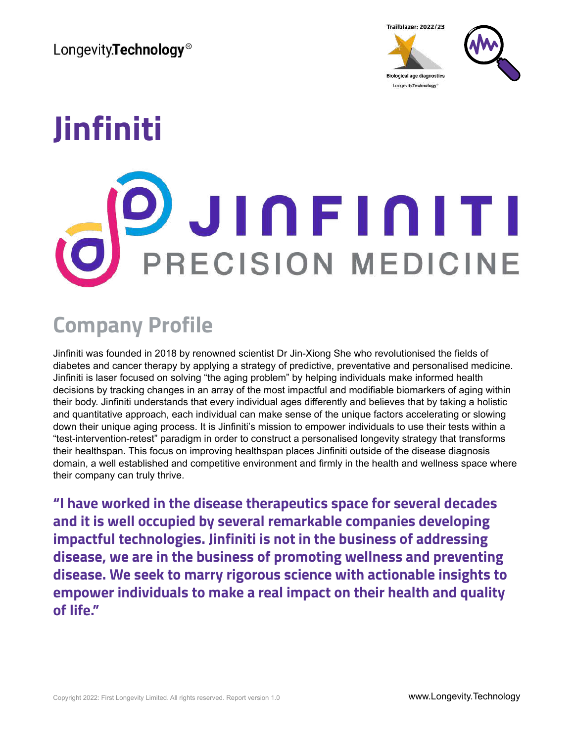

# **Jinfiniti PRECISION MEDICINE**

## **Company Profile**

Jinfiniti was founded in 2018 by renowned scientist Dr Jin-Xiong She who revolutionised the fields of diabetes and cancer therapy by applying a strategy of predictive, preventative and personalised medicine. Jinfiniti is laser focused on solving "the aging problem" by helping individuals make informed health decisions by tracking changes in an array of the most impactful and modifiable biomarkers of aging within their body. Jinfiniti understands that every individual ages differently and believes that by taking a holistic and quantitative approach, each individual can make sense of the unique factors accelerating or slowing down their unique aging process. It is Jinfiniti's mission to empower individuals to use their tests within a "test-intervention-retest" paradigm in order to construct a personalised longevity strategy that transforms their healthspan. This focus on improving healthspan places Jinfiniti outside of the disease diagnosis domain, a well established and competitive environment and firmly in the health and wellness space where their company can truly thrive.

**"I have worked in the disease therapeutics space for several decades and it is well occupied by several remarkable companies developing impactful technologies. Jinfiniti is not in the business of addressing disease, we are in the business of promoting wellness and preventing disease. We seek to marry rigorous science with actionable insights to empower individuals to make a real impact on their health and quality of life."**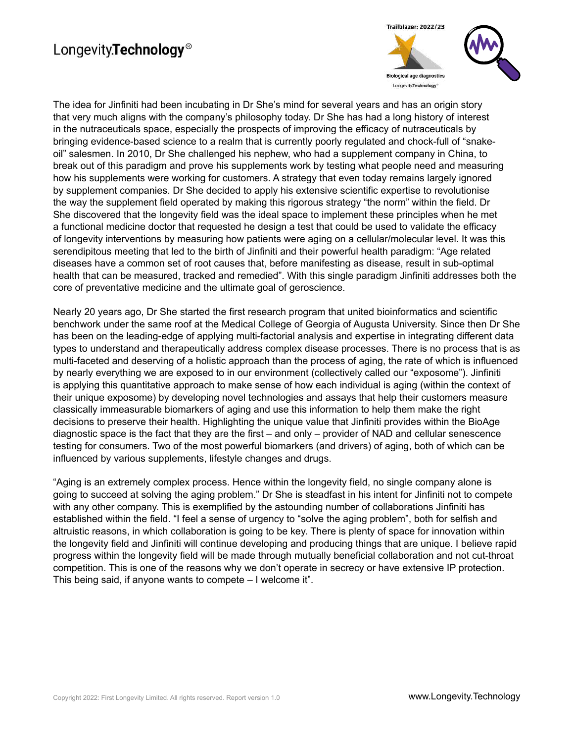

The idea for Jinfiniti had been incubating in Dr She's mind for several years and has an origin story that very much aligns with the company's philosophy today. Dr She has had a long history of interest in the nutraceuticals space, especially the prospects of improving the efficacy of nutraceuticals by bringing evidence-based science to a realm that is currently poorly regulated and chock-full of "snakeoil" salesmen. In 2010, Dr She challenged his nephew, who had a supplement company in China, to break out of this paradigm and prove his supplements work by testing what people need and measuring how his supplements were working for customers. A strategy that even today remains largely ignored by supplement companies. Dr She decided to apply his extensive scientific expertise to revolutionise the way the supplement field operated by making this rigorous strategy "the norm" within the field. Dr She discovered that the longevity field was the ideal space to implement these principles when he met a functional medicine doctor that requested he design a test that could be used to validate the efficacy of longevity interventions by measuring how patients were aging on a cellular/molecular level. It was this serendipitous meeting that led to the birth of Jinfiniti and their powerful health paradigm: "Age related diseases have a common set of root causes that, before manifesting as disease, result in sub-optimal health that can be measured, tracked and remedied". With this single paradigm Jinfiniti addresses both the core of preventative medicine and the ultimate goal of geroscience.

Nearly 20 years ago, Dr She started the first research program that united bioinformatics and scientific benchwork under the same roof at the Medical College of Georgia of Augusta University. Since then Dr She has been on the leading-edge of applying multi-factorial analysis and expertise in integrating different data types to understand and therapeutically address complex disease processes. There is no process that is as multi-faceted and deserving of a holistic approach than the process of aging, the rate of which is influenced by nearly everything we are exposed to in our environment (collectively called our "exposome"). Jinfiniti is applying this quantitative approach to make sense of how each individual is aging (within the context of their unique exposome) by developing novel technologies and assays that help their customers measure classically immeasurable biomarkers of aging and use this information to help them make the right decisions to preserve their health. Highlighting the unique value that Jinfiniti provides within the BioAge diagnostic space is the fact that they are the first – and only – provider of NAD and cellular senescence testing for consumers. Two of the most powerful biomarkers (and drivers) of aging, both of which can be influenced by various supplements, lifestyle changes and drugs.

"Aging is an extremely complex process. Hence within the longevity field, no single company alone is going to succeed at solving the aging problem." Dr She is steadfast in his intent for Jinfiniti not to compete with any other company. This is exemplified by the astounding number of collaborations Jinfiniti has established within the field. "I feel a sense of urgency to "solve the aging problem", both for selfish and altruistic reasons, in which collaboration is going to be key. There is plenty of space for innovation within the longevity field and Jinfiniti will continue developing and producing things that are unique. I believe rapid progress within the longevity field will be made through mutually beneficial collaboration and not cut-throat competition. This is one of the reasons why we don't operate in secrecy or have extensive IP protection. This being said, if anyone wants to compete – I welcome it".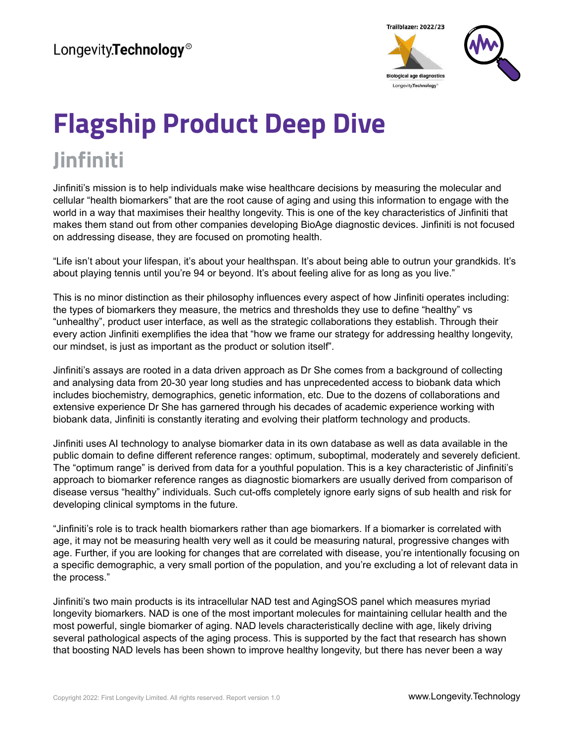

## **Flagship Product Deep Dive Jinfiniti**

Jinfiniti's mission is to help individuals make wise healthcare decisions by measuring the molecular and cellular "health biomarkers" that are the root cause of aging and using this information to engage with the world in a way that maximises their healthy longevity. This is one of the key characteristics of Jinfiniti that makes them stand out from other companies developing BioAge diagnostic devices. Jinfiniti is not focused on addressing disease, they are focused on promoting health.

"Life isn't about your lifespan, it's about your healthspan. It's about being able to outrun your grandkids. It's about playing tennis until you're 94 or beyond. It's about feeling alive for as long as you live."

This is no minor distinction as their philosophy influences every aspect of how Jinfiniti operates including: the types of biomarkers they measure, the metrics and thresholds they use to define "healthy" vs "unhealthy", product user interface, as well as the strategic collaborations they establish. Through their every action Jinfiniti exemplifies the idea that "how we frame our strategy for addressing healthy longevity, our mindset, is just as important as the product or solution itself".

Jinfiniti's assays are rooted in a data driven approach as Dr She comes from a background of collecting and analysing data from 20-30 year long studies and has unprecedented access to biobank data which includes biochemistry, demographics, genetic information, etc. Due to the dozens of collaborations and extensive experience Dr She has garnered through his decades of academic experience working with biobank data, Jinfiniti is constantly iterating and evolving their platform technology and products.

Jinfiniti uses AI technology to analyse biomarker data in its own database as well as data available in the public domain to define different reference ranges: optimum, suboptimal, moderately and severely deficient. The "optimum range" is derived from data for a youthful population. This is a key characteristic of Jinfiniti's approach to biomarker reference ranges as diagnostic biomarkers are usually derived from comparison of disease versus "healthy" individuals. Such cut-offs completely ignore early signs of sub health and risk for developing clinical symptoms in the future.

"Jinfiniti's role is to track health biomarkers rather than age biomarkers. If a biomarker is correlated with age, it may not be measuring health very well as it could be measuring natural, progressive changes with age. Further, if you are looking for changes that are correlated with disease, you're intentionally focusing on a specific demographic, a very small portion of the population, and you're excluding a lot of relevant data in the process."

Jinfiniti's two main products is its intracellular NAD test and AgingSOS panel which measures myriad longevity biomarkers. NAD is one of the most important molecules for maintaining cellular health and the most powerful, single biomarker of aging. NAD levels characteristically decline with age, likely driving several pathological aspects of the aging process. This is supported by the fact that research has shown that boosting NAD levels has been shown to improve healthy longevity, but there has never been a way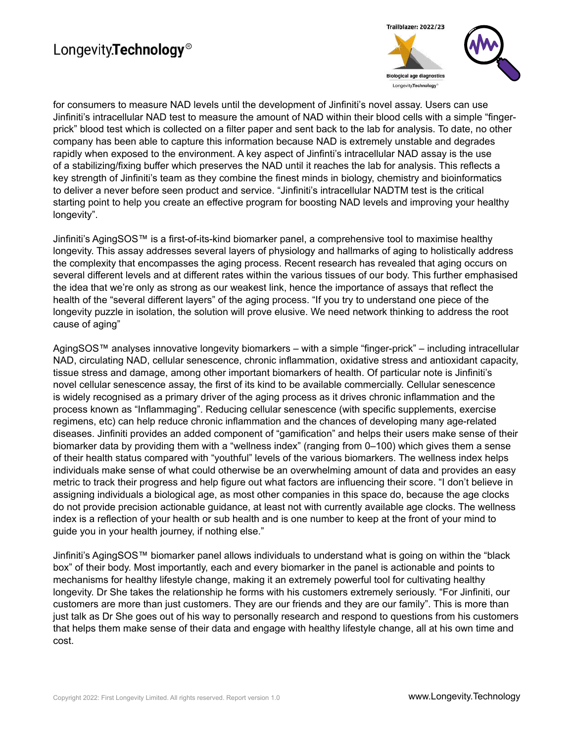

for consumers to measure NAD levels until the development of Jinfiniti's novel assay. Users can use Jinfiniti's intracellular NAD test to measure the amount of NAD within their blood cells with a simple "fingerprick" blood test which is collected on a filter paper and sent back to the lab for analysis. To date, no other company has been able to capture this information because NAD is extremely unstable and degrades rapidly when exposed to the environment. A key aspect of Jinfinti's intracellular NAD assay is the use of a stabilizing/fixing buffer which preserves the NAD until it reaches the lab for analysis. This reflects a key strength of Jinfiniti's team as they combine the finest minds in biology, chemistry and bioinformatics to deliver a never before seen product and service. "Jinfiniti's intracellular NADTM test is the critical starting point to help you create an effective program for boosting NAD levels and improving your healthy longevity".

Jinfiniti's AgingSOS™ is a first-of-its-kind biomarker panel, a comprehensive tool to maximise healthy longevity. This assay addresses several layers of physiology and hallmarks of aging to holistically address the complexity that encompasses the aging process. Recent research has revealed that aging occurs on several different levels and at different rates within the various tissues of our body. This further emphasised the idea that we're only as strong as our weakest link, hence the importance of assays that reflect the health of the "several different layers" of the aging process. "If you try to understand one piece of the longevity puzzle in isolation, the solution will prove elusive. We need network thinking to address the root cause of aging"

AgingSOS™ analyses innovative longevity biomarkers – with a simple "finger-prick" – including intracellular NAD, circulating NAD, cellular senescence, chronic inflammation, oxidative stress and antioxidant capacity, tissue stress and damage, among other important biomarkers of health. Of particular note is Jinfiniti's novel cellular senescence assay, the first of its kind to be available commercially. Cellular senescence is widely recognised as a primary driver of the aging process as it drives chronic inflammation and the process known as "Inflammaging". Reducing cellular senescence (with specific supplements, exercise regimens, etc) can help reduce chronic inflammation and the chances of developing many age-related diseases. Jinfiniti provides an added component of "gamification" and helps their users make sense of their biomarker data by providing them with a "wellness index" (ranging from 0–100) which gives them a sense of their health status compared with "youthful" levels of the various biomarkers. The wellness index helps individuals make sense of what could otherwise be an overwhelming amount of data and provides an easy metric to track their progress and help figure out what factors are influencing their score. "I don't believe in assigning individuals a biological age, as most other companies in this space do, because the age clocks do not provide precision actionable guidance, at least not with currently available age clocks. The wellness index is a reflection of your health or sub health and is one number to keep at the front of your mind to guide you in your health journey, if nothing else."

Jinfiniti's AgingSOS™ biomarker panel allows individuals to understand what is going on within the "black box" of their body. Most importantly, each and every biomarker in the panel is actionable and points to mechanisms for healthy lifestyle change, making it an extremely powerful tool for cultivating healthy longevity. Dr She takes the relationship he forms with his customers extremely seriously. "For Jinfiniti, our customers are more than just customers. They are our friends and they are our family". This is more than just talk as Dr She goes out of his way to personally research and respond to questions from his customers that helps them make sense of their data and engage with healthy lifestyle change, all at his own time and cost.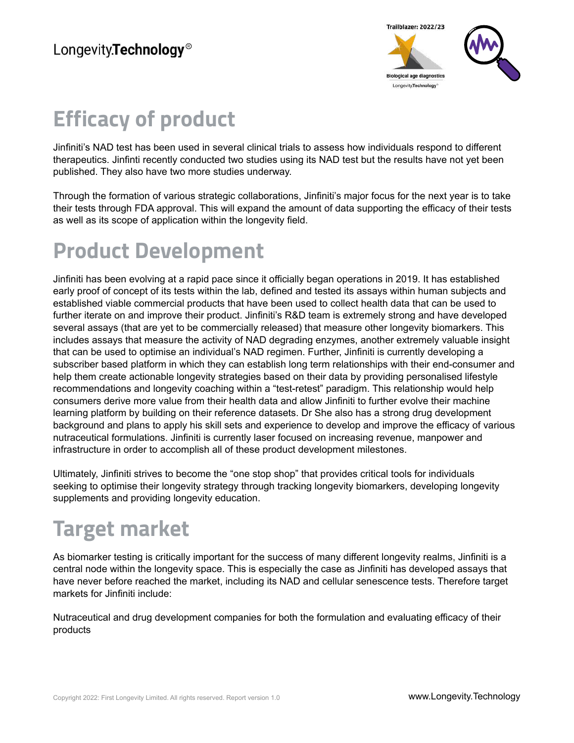

## **Efficacy of product**

Jinfiniti's NAD test has been used in several clinical trials to assess how individuals respond to different therapeutics. Jinfinti recently conducted two studies using its NAD test but the results have not yet been published. They also have two more studies underway.

Through the formation of various strategic collaborations, Jinfiniti's major focus for the next year is to take their tests through FDA approval. This will expand the amount of data supporting the efficacy of their tests as well as its scope of application within the longevity field.

## **Product Development**

Jinfiniti has been evolving at a rapid pace since it officially began operations in 2019. It has established early proof of concept of its tests within the lab, defined and tested its assays within human subjects and established viable commercial products that have been used to collect health data that can be used to further iterate on and improve their product. Jinfiniti's R&D team is extremely strong and have developed several assays (that are yet to be commercially released) that measure other longevity biomarkers. This includes assays that measure the activity of NAD degrading enzymes, another extremely valuable insight that can be used to optimise an individual's NAD regimen. Further, Jinfiniti is currently developing a subscriber based platform in which they can establish long term relationships with their end-consumer and help them create actionable longevity strategies based on their data by providing personalised lifestyle recommendations and longevity coaching within a "test-retest" paradigm. This relationship would help consumers derive more value from their health data and allow Jinfiniti to further evolve their machine learning platform by building on their reference datasets. Dr She also has a strong drug development background and plans to apply his skill sets and experience to develop and improve the efficacy of various nutraceutical formulations. Jinfiniti is currently laser focused on increasing revenue, manpower and infrastructure in order to accomplish all of these product development milestones.

Ultimately, Jinfiniti strives to become the "one stop shop" that provides critical tools for individuals seeking to optimise their longevity strategy through tracking longevity biomarkers, developing longevity supplements and providing longevity education.

## **Target market**

As biomarker testing is critically important for the success of many different longevity realms, Jinfiniti is a central node within the longevity space. This is especially the case as Jinfiniti has developed assays that have never before reached the market, including its NAD and cellular senescence tests. Therefore target markets for Jinfiniti include:

Nutraceutical and drug development companies for both the formulation and evaluating efficacy of their products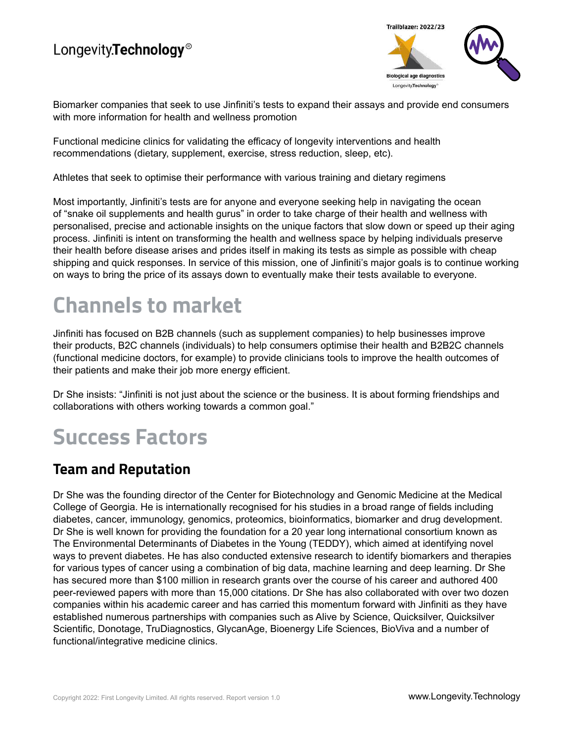

Biomarker companies that seek to use Jinfiniti's tests to expand their assays and provide end consumers with more information for health and wellness promotion

Functional medicine clinics for validating the efficacy of longevity interventions and health recommendations (dietary, supplement, exercise, stress reduction, sleep, etc).

Athletes that seek to optimise their performance with various training and dietary regimens

Most importantly, Jinfiniti's tests are for anyone and everyone seeking help in navigating the ocean of "snake oil supplements and health gurus" in order to take charge of their health and wellness with personalised, precise and actionable insights on the unique factors that slow down or speed up their aging process. Jinfiniti is intent on transforming the health and wellness space by helping individuals preserve their health before disease arises and prides itself in making its tests as simple as possible with cheap shipping and quick responses. In service of this mission, one of Jinfiniti's major goals is to continue working on ways to bring the price of its assays down to eventually make their tests available to everyone.

## **Channels to market**

Jinfiniti has focused on B2B channels (such as supplement companies) to help businesses improve their products, B2C channels (individuals) to help consumers optimise their health and B2B2C channels (functional medicine doctors, for example) to provide clinicians tools to improve the health outcomes of their patients and make their job more energy efficient.

Dr She insists: "Jinfiniti is not just about the science or the business. It is about forming friendships and collaborations with others working towards a common goal."

## **Success Factors**

#### **Team and Reputation**

Dr She was the founding director of the Center for Biotechnology and Genomic Medicine at the Medical College of Georgia. He is internationally recognised for his studies in a broad range of fields including diabetes, cancer, immunology, genomics, proteomics, bioinformatics, biomarker and drug development. Dr She is well known for providing the foundation for a 20 year long international consortium known as The Environmental Determinants of Diabetes in the Young (TEDDY), which aimed at identifying novel ways to prevent diabetes. He has also conducted extensive research to identify biomarkers and therapies for various types of cancer using a combination of big data, machine learning and deep learning. Dr She has secured more than \$100 million in research grants over the course of his career and authored 400 peer-reviewed papers with more than 15,000 citations. Dr She has also collaborated with over two dozen companies within his academic career and has carried this momentum forward with Jinfiniti as they have established numerous partnerships with companies such as Alive by Science, Quicksilver, Quicksilver Scientific, Donotage, TruDiagnostics, GlycanAge, Bioenergy Life Sciences, BioViva and a number of functional/integrative medicine clinics.